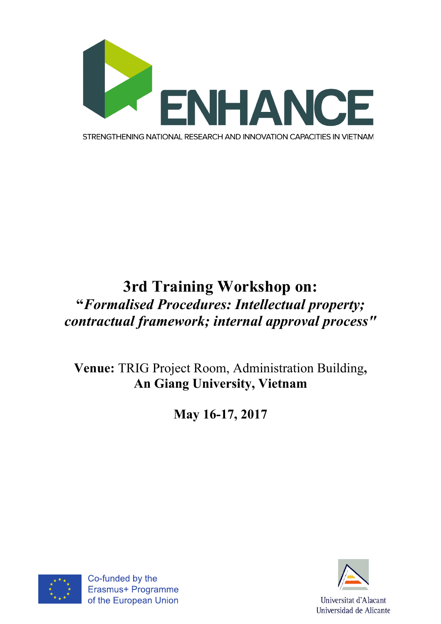

## **3rd Training Workshop on: "***Formalised Procedures: Intellectual property; contractual framework; internal approval process"*

**Venue:** TRIG Project Room, Administration Building**, An Giang University, Vietnam**

**May 16-17, 2017**



Co-funded by the Erasmus+ Programme of the European Union

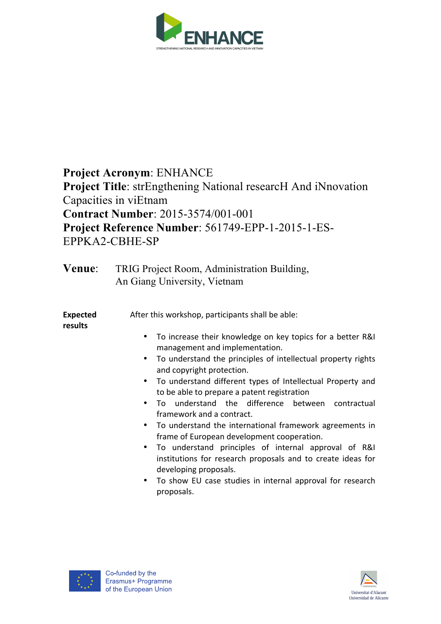

## **Project Acronym**: ENHANCE **Project Title**: strEngthening National researcH And iNnovation Capacities in viEtnam **Contract Number**: 2015-3574/001-001 **Project Reference Number**: 561749-EPP-1-2015-1-ES-EPPKA2-CBHE-SP

| Venue: | TRIG Project Room, Administration Building, |
|--------|---------------------------------------------|
|        | An Giang University, Vietnam                |

| <b>Expected</b> | After this workshop, participants shall be able: |
|-----------------|--------------------------------------------------|
| results         |                                                  |

- To increase their knowledge on key topics for a better R&I management and implementation.
- To understand the principles of intellectual property rights and copyright protection.
- To understand different types of Intellectual Property and to be able to prepare a patent registration
- To understand the difference between contractual framework and a contract.
- To understand the international framework agreements in frame of European development cooperation.
- To understand principles of internal approval of R&I institutions for research proposals and to create ideas for developing proposals.
- To show EU case studies in internal approval for research proposals.



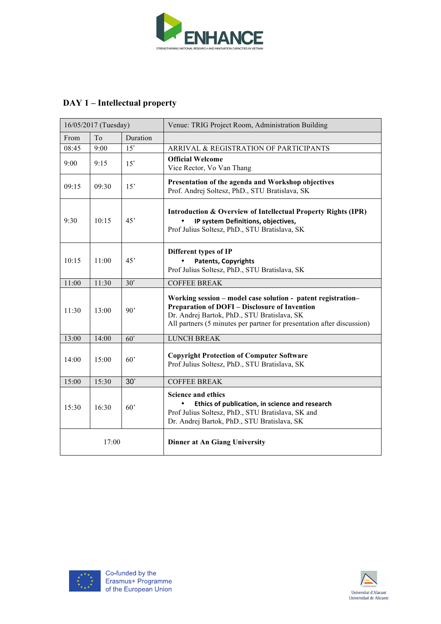

## **DAY 1 – Intellectual property**

| 16/05/2017 (Tuesday) |       |            | Venue: TRIG Project Room, Administration Building                                                                                                                                                                                             |
|----------------------|-------|------------|-----------------------------------------------------------------------------------------------------------------------------------------------------------------------------------------------------------------------------------------------|
| From                 | To    | Duration   |                                                                                                                                                                                                                                               |
| 08:45                | 9:00  | 15'        | ARRIVAL & REGISTRATION OF PARTICIPANTS                                                                                                                                                                                                        |
| 9:00                 | 9:15  | 15'        | <b>Official Welcome</b><br>Vice Rector, Vo Van Thang                                                                                                                                                                                          |
| 09:15                | 09:30 | 15'        | Presentation of the agenda and Workshop objectives<br>Prof. Andrej Soltesz, PhD., STU Bratislava, SK                                                                                                                                          |
| 9:30                 | 10:15 | 45'        | <b>Introduction &amp; Overview of Intellectual Property Rights (IPR)</b><br>IP system Definitions, objectives,<br>Prof Julius Soltesz, PhD., STU Bratislava, SK                                                                               |
| 10:15                | 11:00 | $45^\circ$ | Different types of IP<br><b>Patents, Copyrights</b><br>Prof Julius Soltesz, PhD., STU Bratislava, SK                                                                                                                                          |
| 11:00                | 11:30 | 30'        | <b>COFFEE BREAK</b>                                                                                                                                                                                                                           |
| 11:30                | 13:00 | 90'        | Working session - model case solution - patent registration-<br><b>Preparation of DOFI - Disclosure of Invention</b><br>Dr. Andrej Bartok, PhD., STU Bratislava, SK<br>All partners (5 minutes per partner for presentation after discussion) |
| 13:00                | 14:00 | 60'        | <b>LUNCH BREAK</b>                                                                                                                                                                                                                            |
| 14:00                | 15:00 | 60'        | <b>Copyright Protection of Computer Software</b><br>Prof Julius Soltesz, PhD., STU Bratislava, SK                                                                                                                                             |
| 15:00                | 15:30 | 30'        | <b>COFFEE BREAK</b>                                                                                                                                                                                                                           |
| 15:30                | 16:30 | 60'        | Science and ethics<br>Ethics of publication, in science and research<br>Prof Julius Soltesz, PhD., STU Bratislava, SK and<br>Dr. Andrej Bartok, PhD., STU Bratislava, SK                                                                      |
| 17:00                |       |            | <b>Dinner at An Giang University</b>                                                                                                                                                                                                          |